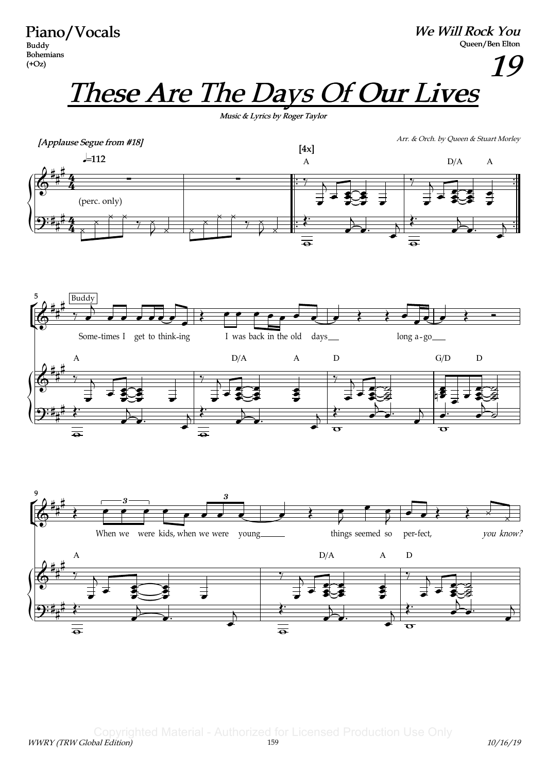Piano/Vocals Buddy Bohemians  $(+Oz)$ 

We Will Rock You Queen/Ben Elton

19

These Are The Days Of Our Lives

Music & Lyrics by Roger Taylor





Copyrighted Material - Authorized for Licensed Production Use Only<br>
159<br>
159 WWRY (TRW Global Edition) 159 10/16/19 12 159 10/16/19 12